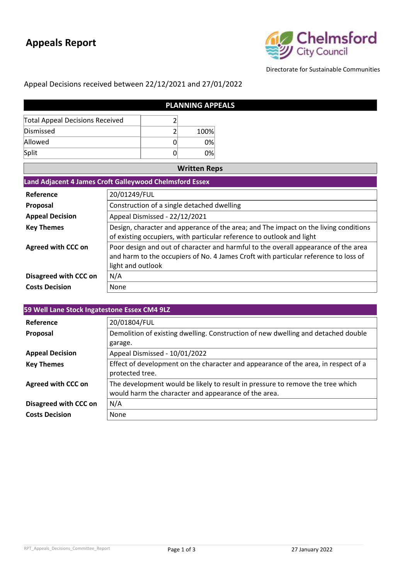## **Appeals Report**



Directorate for Sustainable Communities

١

## Appeal Decisions received between 22/12/2021 and 27/01/2022

| <b>PLANNING APPEALS</b>                |  |      |  |
|----------------------------------------|--|------|--|
| <b>Total Appeal Decisions Received</b> |  |      |  |
| Dismissed                              |  | 100% |  |
| Allowed                                |  | 0%   |  |
| Split                                  |  | 0%   |  |

| <b>Written Reps</b>                                     |                                                                                                                                                                                                |  |
|---------------------------------------------------------|------------------------------------------------------------------------------------------------------------------------------------------------------------------------------------------------|--|
| Land Adjacent 4 James Croft Galleywood Chelmsford Essex |                                                                                                                                                                                                |  |
| Reference                                               | 20/01249/FUL                                                                                                                                                                                   |  |
| <b>Proposal</b>                                         | Construction of a single detached dwelling                                                                                                                                                     |  |
| <b>Appeal Decision</b>                                  | Appeal Dismissed - 22/12/2021                                                                                                                                                                  |  |
| <b>Key Themes</b>                                       | Design, character and apperance of the area; and The impact on the living conditions<br>of existing occupiers, with particular reference to outlook and light                                  |  |
| <b>Agreed with CCC on</b>                               | Poor design and out of character and harmful to the overall appearance of the area<br>and harm to the occupiers of No. 4 James Croft with particular reference to loss of<br>light and outlook |  |
| Disagreed with CCC on                                   | N/A                                                                                                                                                                                            |  |
| <b>Costs Decision</b>                                   | None                                                                                                                                                                                           |  |

| 59 Well Lane Stock Ingatestone Essex CM4 9LZ |                                                                                                                                        |  |
|----------------------------------------------|----------------------------------------------------------------------------------------------------------------------------------------|--|
| Reference                                    | 20/01804/FUL                                                                                                                           |  |
| Proposal                                     | Demolition of existing dwelling. Construction of new dwelling and detached double<br>garage.                                           |  |
| <b>Appeal Decision</b>                       | Appeal Dismissed - 10/01/2022                                                                                                          |  |
| <b>Key Themes</b>                            | Effect of development on the character and appearance of the area, in respect of a<br>protected tree.                                  |  |
| <b>Agreed with CCC on</b>                    | The development would be likely to result in pressure to remove the tree which<br>would harm the character and appearance of the area. |  |
| Disagreed with CCC on                        | N/A                                                                                                                                    |  |
| <b>Costs Decision</b>                        | None                                                                                                                                   |  |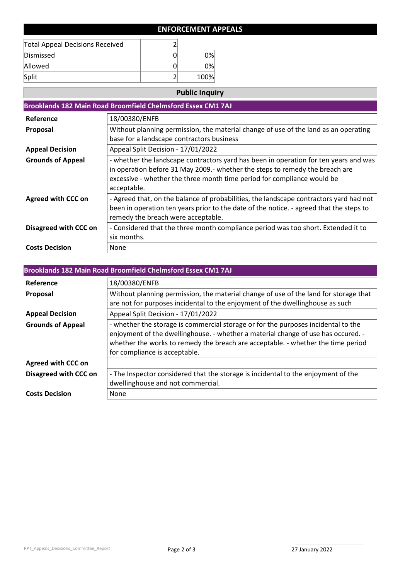## **ENFORCEMENT APPEALS**

| <b>Total Appeal Decisions Received</b> |      |
|----------------------------------------|------|
| Dismissed                              | 0%   |
| Allowed                                | 0%   |
| Split                                  | 100% |

## **Public Inquiry**

|                           | Brooklands 182 Main Road Broomfield Chelmsford Essex CM1 7AJ                                                                                                                                                                                                   |
|---------------------------|----------------------------------------------------------------------------------------------------------------------------------------------------------------------------------------------------------------------------------------------------------------|
| Reference                 | 18/00380/ENFB                                                                                                                                                                                                                                                  |
| Proposal                  | Without planning permission, the material change of use of the land as an operating<br>base for a landscape contractors business                                                                                                                               |
| <b>Appeal Decision</b>    | Appeal Split Decision - 17/01/2022                                                                                                                                                                                                                             |
| <b>Grounds of Appeal</b>  | - whether the landscape contractors yard has been in operation for ten years and was<br>in operation before 31 May 2009.- whether the steps to remedy the breach are<br>excessive - whether the three month time period for compliance would be<br>acceptable. |
| <b>Agreed with CCC on</b> | - Agreed that, on the balance of probabilities, the landscape contractors yard had not<br>been in operation ten years prior to the date of the notice. - agreed that the steps to<br>remedy the breach were acceptable.                                        |
| Disagreed with CCC on     | - Considered that the three month compliance period was too short. Extended it to<br>six months.                                                                                                                                                               |
| <b>Costs Decision</b>     | None                                                                                                                                                                                                                                                           |

| Brooklands 182 Main Road Broomfield Chelmsford Essex CM1 7AJ |                                                                                                                                                                                                                                                                                             |  |
|--------------------------------------------------------------|---------------------------------------------------------------------------------------------------------------------------------------------------------------------------------------------------------------------------------------------------------------------------------------------|--|
| Reference                                                    | 18/00380/ENFB                                                                                                                                                                                                                                                                               |  |
| <b>Proposal</b>                                              | Without planning permission, the material change of use of the land for storage that<br>are not for purposes incidental to the enjoyment of the dwellinghouse as such                                                                                                                       |  |
| <b>Appeal Decision</b>                                       | Appeal Split Decision - 17/01/2022                                                                                                                                                                                                                                                          |  |
| <b>Grounds of Appeal</b>                                     | - whether the storage is commercial storage or for the purposes incidental to the<br>enjoyment of the dwellinghouse. - whether a material change of use has occured. -<br>whether the works to remedy the breach are acceptable. - whether the time period<br>for compliance is acceptable. |  |
| <b>Agreed with CCC on</b>                                    |                                                                                                                                                                                                                                                                                             |  |
| Disagreed with CCC on                                        | - The Inspector considered that the storage is incidental to the enjoyment of the<br>dwellinghouse and not commercial.                                                                                                                                                                      |  |
| <b>Costs Decision</b>                                        | None                                                                                                                                                                                                                                                                                        |  |